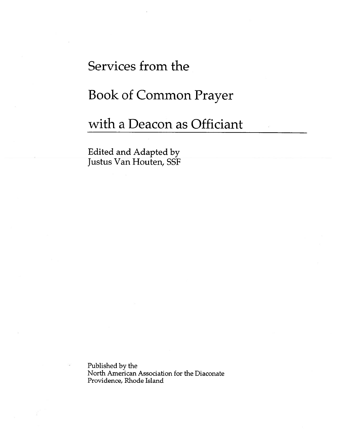# Services from the

## Book of Common Prayer

## with <sup>a</sup> Deacon as Officiant

Edited and Adapted by Justus Van Houten, SSF

Published by the North American Association for the Diaconate Providence, Rhode Island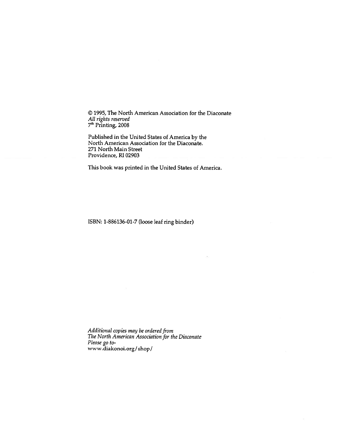© 1995, The North American Association for the Diaconate All rights reserved 7<sup>th</sup> Printing, 2008

Published in the United States of America by the North American Association for the Diaconate. 271 North Main Street Providence, RI 02903

This book was printed in the United States of America.

ISBN: 1-886136-01-7 (loose leaf ring binder)

Additional copies may be ordered from The North American Association for the Diaconate Please go towww.diakonoi.org/shop!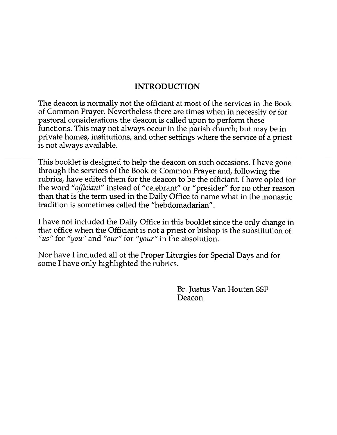#### INTRODUCTION

The deacon is normally not the officiant at most of the services in the Book of Common Prayer. Nevertheless there are times when in necessity or for pastoral considerations the deacon is called upon to perform these functions. This may not always occur in the parish church; but may be in private homes, institutions, and other settings where the service of <sup>a</sup> priest is not always available.

This booklet is designed to help the deacon on such occasions. <sup>I</sup> have gone through the services of the Book of Common Prayer and, following the rubrics, have edited them for the deacon to be the officiant. <sup>I</sup> have opted for the word "officiant" instead of "celebrant" or "presider" for no other reason than that is the term used in the Daily Office to name what in the monastic tradition is sometimes called the "hebdomadarian".

<sup>I</sup> have not included the Daily Office in this booklet since the only change in that office when the Officiant is not <sup>a</sup> priest or bishop is the substitution of "us" for "you" and "our" for "your" in the absolution.

Nor have <sup>I</sup> included all of the Proper Liturgies for Special Days and for some I have only highlighted the rubrics.

> Br. Justus Van Houten SSF Deacon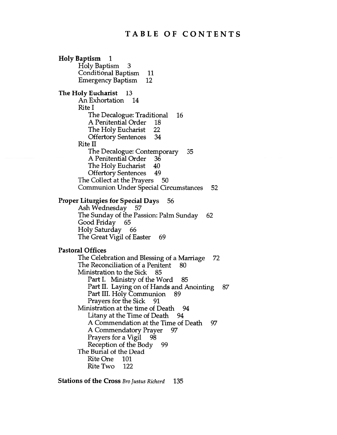#### TABLE OF CONTENTS

Holy Baptism <sup>1</sup> Holy Baptism 3 Conditional Baptism 11 Emergency Baptism 12 The Holy Eucharist 13 An Exhortation 14 Rite I The Decalogue: Traditional 16 A Penitential Order 18 The Holy Eucharist 22 Offertory Sentences 34 Rite II The Decalogue: Contemporary 35 A Penitential Order 36 The Holy Eucharist 40 Offertory Sentences 49 The Collect at the Prayers 50 Communion Under Special Circumstances 52 Proper Liturgies for Special Days 56 Ash Wednesday 57 The Sunday of the Passion: Palm Sunday 62<br>Good Friday 65 Good Friday Holy Saturday 66 The Great Vigil of Easter 69 Pastoral Offices The Celebration and Blessing of a Marriage 72 The Reconciliation of a Penitent 80 Ministration to the Sick 85 Part I. Ministry of the Word 85 Part II. Laying on of Hands and Anointing 87 Part III. Holy Communion 89 Prayers for the Sick 91 Ministration at the time of Death 94 Litany at the Time of Death 94 A Commendation at the Time of Death 97 A Commendatory Prayer 97 Prayers for a Vigil 98 Reception of the Body 99 The Burial of the Dead Rite One 101 Rite Two 122

Stations of the Cross Bro Justus Richard 135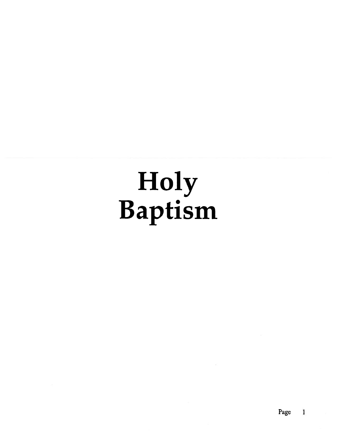# Holy Baptism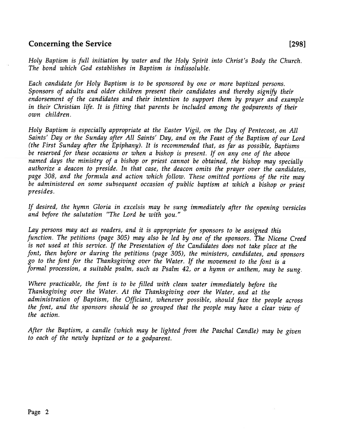#### Concerning the Service [298]

Holy Baptism is full initiation by water and the Holy Spirit into Christ's Body the Church. The bond which God establishes in Baptism is indissoluble.

Each candidate for Holy Baptism is to be sponsored by one or more baptized persons. Sponsors of adults and older children presen<sup>t</sup> their candidates and thereby signify their endorsement of the candidates and their intention to suppor<sup>t</sup> them by prayer and example in their Christian life. It is fitting that parents be included among the godparents of their own children.

Holy Baptism is especially appropriate at the Easter Vigil, on the Day of Pentecost, on All Saints' Day or the Sunday after All Saints' Day, and on the Feast of the Baptism of our Lord (the First Sunday after the Epiphany). It is recommended that, as far as possible, Baptisms be reserved for these occasions or when <sup>a</sup> bishop is present. If on any one of the above named days the ministry of <sup>a</sup> bishop or priest cannot be obtained, the bishop may specially authorize <sup>a</sup> deacon to preside. In that case, the deacon omits the prayer over the candidates, page 308, and the formula and action which follow. These omitted portions of the rite may be administered on some subsequent occasion of public baptism at which <sup>a</sup> bishop or priest presides.

If desired, the hymn Gloria in excelsis may be sung immediately after the opening versicles and before the salutation "The Lord be with you."

Lay persons may act as readers, and it is appropriate for sponsors to be assigned this function. The petitions (page 305) may also be led by one of the sponsors. The Nicene Creed is not used at this service. If the Presentation of the Candidates does not take <sup>p</sup>lace at the font, then before or during the petitions (page 305), the ministers, candidates, and sponsors go to the font for the Thanksgiving over the Water. If the movement to the font is <sup>a</sup> formal procession, <sup>a</sup> suitable psalm, such as Psalm 42, or <sup>a</sup> hymn or anthem, may be sung.

Where practicable, the font is to be filled with clean water immediately before the Thanksgiving over the Water. At the Thanksgiving over the Water, and at the administration of Baptism, the Officiant, whenever possible, should face the people across the font, and the sponsors should be so groupe<sup>d</sup> that the people may have <sup>a</sup> clear view of the action.

After the Baptism, <sup>a</sup> candle (which may be lighted from the Paschal Candle) may be <sup>g</sup>iven to each of the newly baptized or to <sup>a</sup> godparent.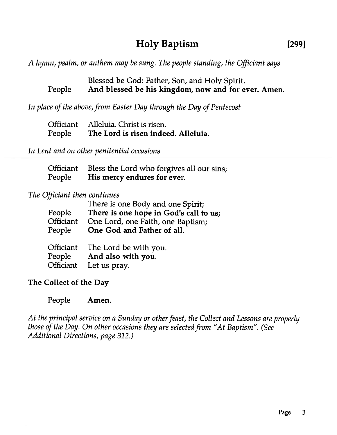## Holy Baptism [299]

A hymn, psalm, or anthem may be sung. The people standing, the Officiant says

Blessed be God: Father, Son, and Holy Spirit. People And blessed be his kingdom, now and for ever. Amen.

In place of the above, from Easter Day through the Day of Pentecost

|        | Officiant Alleluia. Christ is risen. |
|--------|--------------------------------------|
| People | The Lord is risen indeed. Alleluia.  |

In Lent and on other penitential occasions

|        | Officiant Bless the Lord who forgives all our sins; |
|--------|-----------------------------------------------------|
| People | His mercy endures for ever.                         |

#### The Officiant then continues

| People<br><b>Officiant</b><br>People | There is one Body and one Spirit;<br>There is one hope in God's call to us;<br>One Lord, one Faith, one Baptism;<br>One God and Father of all. |
|--------------------------------------|------------------------------------------------------------------------------------------------------------------------------------------------|
| Officiant                            | The Lord be with you.                                                                                                                          |
| People                               | And also with you.                                                                                                                             |
| Officiant                            | Let us pray.                                                                                                                                   |

#### The Collect of the Day

People Amen.

At the principal service on a Sunday or other feast, the Collect and Lessons are properly those of the Day. On other occasions they are selected from "At Baptism". (See Additional Directions, page 312.)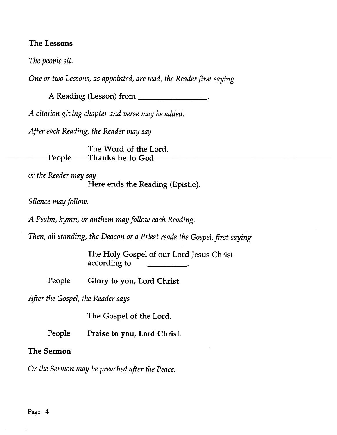#### The Lessons

The people sit.

One or two Lessons, as appointed, are read, the Reader first saying

A Reading (Lesson) from

A citation <sup>g</sup>iving chapter and verse may be added.

After each Reading, the Reader may say

The Word of the Lord. People Thanks be to God.

or the Reader may say

Here ends the Reading (Epistle).

Silence may follow.

<sup>A</sup> Psalm, hymn, or anthem may follow each Reading.

Then, all standing, the Deacon or a Priest reads the Gospel, first saying

The Holy Gospel of our Lord Jesus Christ according the Mead Search<br>
is a suppointed, are read, the Read<br>
(Lesson) from<br>
hapter and verse may be added.<br>
the Reader may say<br>
The Word of the Lord.<br>
Thanks be to God.<br>
ay<br>
Here ends the Reading (Epis<br>
anthem may follo

People Glory to you, Lord Christ.

After the Gospel, the Reader says

The Gospel of the Lord.

People Praise to you, Lord Christ.

#### The Sermon

Or the Sermon may be preached after the Peace.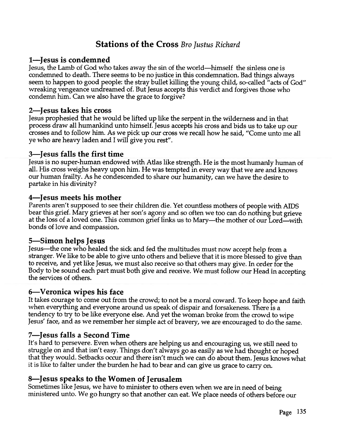### Stations of the Cross Bro Justus Richard

#### 1—Jesus is condemned

Jesus, the Lamb of God who takes away the sin of the world—himself the sinless one is condemned to death. There seems to be no justice in this condemnation. Bad things always seem to happen to good people: the stray bullet killing the young child, so-called "acts of God" wreaking vengeance undreamed of. But Jesus accepts this verdict and forgives those who condemn him. Can we also have the grace to forgive?

#### 2—Jesus takes his cross

Jesus prophesied that he would be lifted up like the serpen<sup>t</sup> in the wilderness and in that process draw all humankind unto himself. Jesus accepts his cross and bids us to take up our crosses and to follow him. As we pick up our cross we recall how he said, "Come unto me all ye who are heavy laden and <sup>I</sup> will give you rest".

#### 3—Jesus falls the first time

Jesus is no super-human endowed with Atlas like strength. He is the most humanly human of all. His cross weighs heavy upon him. He was tempted in every way that we are and knows our human frailty. As he condescended to share our humanity, can we have the desire to partake in his divinity?

#### 4—Jesus meets his mother

Parents aren't suppose<sup>d</sup> to see their children die. Yet countless mothers of people with AIDS bear this grief. Mary grieves at her son's agony and so often we too can do nothing but grieve at the loss of <sup>a</sup> loved one. This common grief links us to Mary—the mother of our Lord—with bonds of love and compassion.

#### 5—Simon helps Jesus

Jesus—the one who healed the sick and fed the multitudes must now accep<sup>t</sup> help from <sup>a</sup> stranger. We like to be able to <sup>g</sup>ive unto others and believe that it is more blessed to <sup>g</sup>ive than to receive, and ye<sup>t</sup> like Jesus, we must also receive so that others may <sup>g</sup>ive. In order for the Body to be sound each par<sup>t</sup> must both <sup>g</sup>ive and receive. We must follow our Head in accepting the services of others.

#### 6—Veronica wipes his face

It takes courage to come out from the crowd; to not be <sup>a</sup> moral coward. To keep hope and faith when everything and everyone around us spea<sup>k</sup> of dispair and forsakeness. There is <sup>a</sup> Jesus' face, and as we remember her simple act of bravery, we are encouraged to do the same.

#### 7—Jesus falls <sup>a</sup> Second Time

It's hard to persevere. Even when others are helping us and encouraging us, we still need to struggle on and that isn't easy. Things don't always go as easily as we had thought or hoped<br>that they would. Setbacks occur and there isn't much we can do about them. Jesus knows what it is like to falter under the burden he had to bear and can <sup>g</sup>ive us grace to carry on.

#### 8—Jesus speaks to the Women of Jerusalem

Sometimes like Jesus, we have to minister to others even when we are in need of being ministered unto. We go hungry so that another can eat. We <sup>p</sup>lace needs of others before our